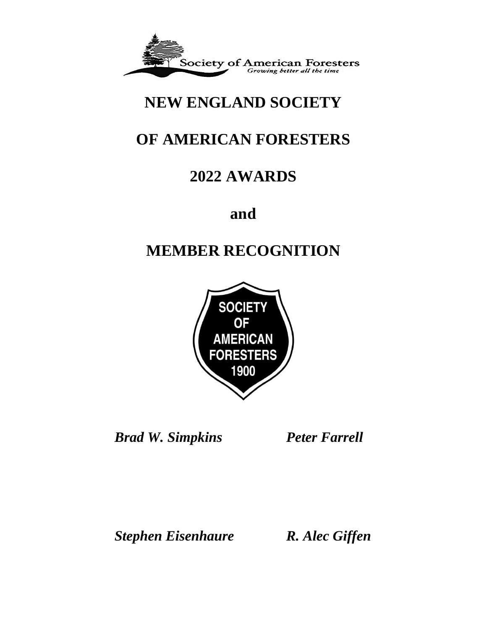

# **NEW ENGLAND SOCIETY**

# **OF AMERICAN FORESTERS**

# **2022 AWARDS**

**and** 

# **MEMBER RECOGNITION**



*Brad W. Simpkins Peter Farrell*

*Stephen Eisenhaure R. Alec Giffen*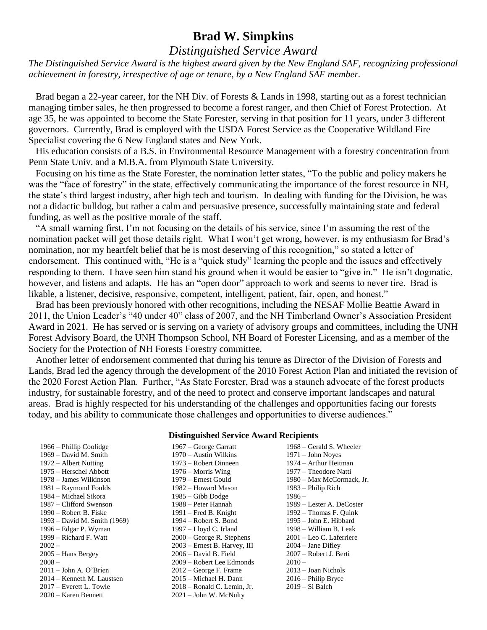## **Brad W. Simpkins**

## *Distinguished Service Award*

*The Distinguished Service Award is the highest award given by the New England SAF, recognizing professional achievement in forestry, irrespective of age or tenure, by a New England SAF member.*

 Brad began a 22-year career, for the NH Div. of Forests & Lands in 1998, starting out as a forest technician managing timber sales, he then progressed to become a forest ranger, and then Chief of Forest Protection. At age 35, he was appointed to become the State Forester, serving in that position for 11 years, under 3 different governors. Currently, Brad is employed with the USDA Forest Service as the Cooperative Wildland Fire Specialist covering the 6 New England states and New York.

 His education consists of a B.S. in Environmental Resource Management with a forestry concentration from Penn State Univ. and a M.B.A. from Plymouth State University.

 Focusing on his time as the State Forester, the nomination letter states, "To the public and policy makers he was the "face of forestry" in the state, effectively communicating the importance of the forest resource in NH, the state's third largest industry, after high tech and tourism. In dealing with funding for the Division, he was not a didactic bulldog, but rather a calm and persuasive presence, successfully maintaining state and federal funding, as well as the positive morale of the staff.

 "A small warning first, I'm not focusing on the details of his service, since I'm assuming the rest of the nomination packet will get those details right. What I won't get wrong, however, is my enthusiasm for Brad's nomination, nor my heartfelt belief that he is most deserving of this recognition," so stated a letter of endorsement. This continued with, "He is a "quick study" learning the people and the issues and effectively responding to them. I have seen him stand his ground when it would be easier to "give in." He isn't dogmatic, however, and listens and adapts. He has an "open door" approach to work and seems to never tire. Brad is likable, a listener, decisive, responsive, competent, intelligent, patient, fair, open, and honest."

 Brad has been previously honored with other recognitions, including the NESAF Mollie Beattie Award in 2011, the Union Leader's "40 under 40" class of 2007, and the NH Timberland Owner's Association President Award in 2021. He has served or is serving on a variety of advisory groups and committees, including the UNH Forest Advisory Board, the UNH Thompson School, NH Board of Forester Licensing, and as a member of the Society for the Protection of NH Forests Forestry committee.

 Another letter of endorsement commented that during his tenure as Director of the Division of Forests and Lands, Brad led the agency through the development of the 2010 Forest Action Plan and initiated the revision of the 2020 Forest Action Plan. Further, "As State Forester, Brad was a staunch advocate of the forest products industry, for sustainable forestry, and of the need to protect and conserve important landscapes and natural areas. Brad is highly respected for his understanding of the challenges and opportunities facing our forests today, and his ability to communicate those challenges and opportunities to diverse audiences."

#### **Distinguished Service Award Recipients**

1966 – Phillip Coolidge 1967 – George Garratt 1968 – Gerald S. Wheeler 1969 – David M. Smith 1970 – Austin Wilkins 1971 – John Noyes 1972 – Albert Nutting 1973 – Robert Dinneen 1974 – Arthur Heitman 1975 – Herschel Abbott 1976 – Morris Wing 1977 – Theodore Natti 1981 – Raymond Foulds 1982 – Howard Mason 1983 – Philip Rich 1984 – Michael Sikora 1985 – Gibb Dodge 1986 – 1987 – Clifford Swenson 1988 – Peter Hannah 1989 – Lester A. DeCoster 1990 – Robert B. Fiske 1991 – Fred B. Knight 1992 – Thomas F. Quink 1993 – David M. Smith (1969) 1994 – Robert S. Bond 1995 – John E. Hibbard 1996 – Edgar P. Wyman 1997 – Lloyd C. Irland 1998 – William B. Leak 1999 – Richard F. Watt 2000 – George R. Stephens 2001 – Leo C. Laferriere 2002 – 2003 – Ernest B. Harvey, III 2004 – Jane Difley 2005 – Hans Bergey 2006 – David B. Field 2007 – Robert J. Berti 2008 – 2009 – Robert Lee Edmonds 2010 – 2011 – John A. O'Brien 2012 – George F. Frame 2013 – Joan Nichols 2014 – Kenneth M. Laustsen 2015 – Michael H. Dann 2016 – Philip Bryce<br>2017 – Everett L. Towle 2018 – Ronald C. Lemin, Jr. 2019 – Si Balch

 $2018$  – Ronald C. Lemin, Jr. 2020 – Karen Bennett 2021 – John W. McNulty

1978 – James Wilkinson 1979 – Ernest Gould 1980 – Max McCormack, Jr.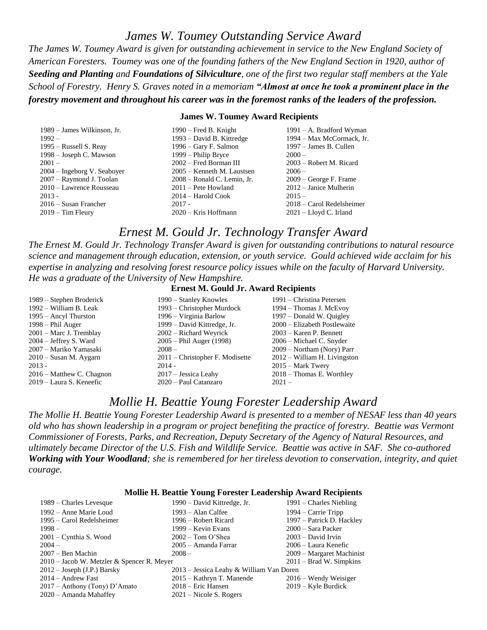## *James W. Toumey Outstanding Service Award*

*The James W. Toumey Award is given for outstanding achievement in service to the New England Society of American Foresters. Toumey was one of the founding fathers of the New England Section in 1920, author of Seeding and Planting and Foundations of Silviculture, one of the first two regular staff members at the Yale School of Forestry. Henry S. Graves noted in a memoriam "Almost at once he took a prominent place in the forestry movement and throughout his career was in the foremost ranks of the leaders of the profession.*

#### **James W. Toumey Award Recipients**

| 1989 – James Wilkinson, Jr.   | $1990$ – Fred B. Knight       | $1991 - A$ . Bradford Wyman |
|-------------------------------|-------------------------------|-----------------------------|
| $1992 -$                      | 1993 – David B. Kittredge     | 1994 – Max McCormack, Jr.   |
| 1995 – Russell S. Reay        | 1996 – Gary F. Salmon         | 1997 – James B. Cullen      |
| 1998 – Joseph C. Mawson       | 1999 – Philip Bryce           | $2000 -$                    |
| $2001 -$                      | 2002 – Fred Borman III        | 2003 – Robert M. Ricard     |
| $2004$ – Ingeborg V. Seaboyer | 2005 – Kenneth M. Laustsen    | $2006-$                     |
| 2007 – Raymond J. Toolan      | $2008 - Ronald C. Lemin, Jr.$ | $2009$ – George F. Frame    |
| 2010 - Lawrence Rousseau      | $2011$ – Pete Howland         | $2012$ – Janice Mulherin    |
| $2013 -$                      | $2014 - Harold Cook$          | $2015 -$                    |
| 2016 – Susan Francher         | $2017 -$                      | 2018 – Carol Redelsheimer   |
| $2019 - Tim Fleury$           | $2020 -$ Kris Hoffmann        | $2021$ – Lloyd C. Irland    |

### *Ernest M. Gould Jr. Technology Transfer Award*

*The Ernest M. Gould Jr. Technology Transfer Award is given for outstanding contributions to natural resource science and management through education, extension, or youth service. Gould achieved wide acclaim for his expertise in analyzing and resolving forest resource policy issues while on the faculty of Harvard University. He was a graduate of the University of New Hampshire.*

#### **Ernest M. Gould Jr. Award Recipients**

| 1989 – Stephen Broderick  | 1990 – Stanley Knowles            | 1991 – Christina Petersen    |
|---------------------------|-----------------------------------|------------------------------|
| 1992 – William B. Leak    | 1993 – Christopher Murdock        | 1994 – Thomas J. McEvoy      |
| $1995 -$ Ancyl Thurston   | 1996 – Virginia Barlow            | 1997 – Donald W. Quigley     |
| $1998 - Phil Auger$       | 1999 – David Kittredge, Jr.       | 2000 – Elizabeth Postlewaite |
| 2001 – Marc J. Tremblay   | $2002$ – Richard Weyrick          | $2003 -$ Karen P. Bennett    |
| $2004 - Jeffrey S. Ward$  | $2005 - Phil Auger (1998)$        | 2006 – Michael C. Snyder     |
| 2007 - Mariko Yamasaki    | $2008 -$                          | 2009 – Northam (Nory) Parr   |
| $2010 -$ Susan M. Aygarn  | $2011$ – Christopher F. Modisette | 2012 – William H. Livingston |
| $2013 -$                  | $2014 -$                          | $2015$ – Mark Twery          |
| 2016 – Matthew C. Chagnon | $2017 - J$ essica Leahy           | $2018 - Thomas E.$ Worthley  |
| 2019 – Laura S. Keneefic  | 2020 – Paul Catanzaro             | $2021 -$                     |
|                           |                                   |                              |

### *Mollie H. Beattie Young Forester Leadership Award*

*The Mollie H. Beattie Young Forester Leadership Award is presented to a member of NESAF less than 40 years old who has shown leadership in a program or project benefiting the practice of forestry. Beattie was Vermont Commissioner of Forests, Parks, and Recreation, Deputy Secretary of the Agency of Natural Resources, and ultimately became Director of the U.S. Fish and Wildlife Service. Beattie was active in SAF. She co-authored Working with Your Woodland; she is remembered for her tireless devotion to conservation, integrity, and quiet courage.*

#### **Mollie H. Beattie Young Forester Leadership Award Recipients**

| 1989 – Charles Levesque                      | 1990 – David Kittredge, Jr.              | $1991$ – Charles Niebling |
|----------------------------------------------|------------------------------------------|---------------------------|
| 1992 – Anne Marie Loud                       | 1993 – Alan Calfee                       | $1994 -$ Carrie Tripp     |
| 1995 – Carol Redelsheimer                    | 1996 – Robert Ricard                     | 1997 – Patrick D. Hackley |
| $1998 -$                                     | 1999 – Kevin Evans                       | 2000 – Sara Packer        |
| $2001$ – Cynthia S. Wood                     | $2002 - Tom O'Shea$                      | $2003 - David Irvin$      |
| $2004 -$                                     | 2005 – Amanda Farrar                     | 2006 – Laura Kenefic      |
| $2007 -$ Ben Machin                          | $2008 -$                                 | 2009 – Margaret Machinist |
| $2010$ – Jacob W. Metzler & Spencer R. Meyer |                                          | $2011 - Brad$ W. Simpkins |
| $2012 - Joseph (J.P.)$ Barsky                | 2013 – Jessica Leahy & William Van Doren |                           |
| $2014$ – Andrew Fast                         | 2015 - Kathryn T. Manende                | $2016 -$ Wendy Weisiger   |
| $2017$ – Anthony (Tony) D'Amato              | $2018$ – Eric Hansen                     | $2019 -$ Kyle Burdick     |
| 2020 – Amanda Mahaffey                       | $2021$ – Nicole S. Rogers                |                           |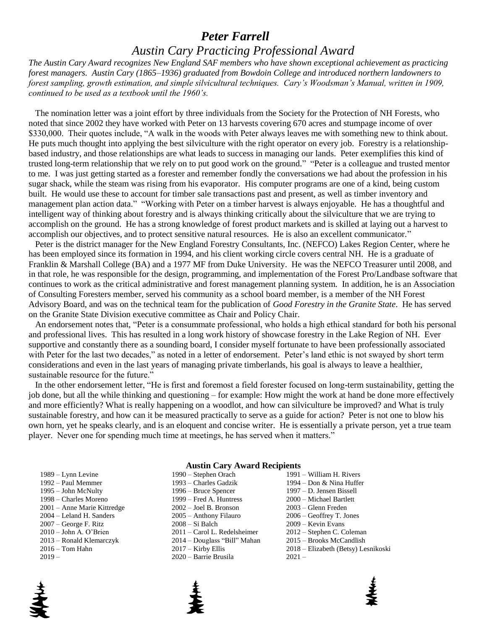## *Peter Farrell*

## *Austin Cary Practicing Professional Award*

*The Austin Cary Award recognizes New England SAF members who have shown exceptional achievement as practicing forest managers. Austin Cary (1865–1936) graduated from Bowdoin College and introduced northern landowners to*  forest sampling, growth estimation, and simple silvicultural techniques. Cary's Woodsman's Manual, written in 1909, *continued to be used as a textbook until the 1960's.*

 The nomination letter was a joint effort by three individuals from the Society for the Protection of NH Forests, who noted that since 2002 they have worked with Peter on 13 harvests covering 670 acres and stumpage income of over \$330,000. Their quotes include, "A walk in the woods with Peter always leaves me with something new to think about. He puts much thought into applying the best silviculture with the right operator on every job. Forestry is a relationshipbased industry, and those relationships are what leads to success in managing our lands. Peter exemplifies this kind of trusted long-term relationship that we rely on to put good work on the ground." "Peter is a colleague and trusted mentor to me. I was just getting started as a forester and remember fondly the conversations we had about the profession in his sugar shack, while the steam was rising from his evaporator. His computer programs are one of a kind, being custom built. He would use these to account for timber sale transactions past and present, as well as timber inventory and management plan action data." "Working with Peter on a timber harvest is always enjoyable. He has a thoughtful and intelligent way of thinking about forestry and is always thinking critically about the silviculture that we are trying to accomplish on the ground. He has a strong knowledge of forest product markets and is skilled at laying out a harvest to accomplish our objectives, and to protect sensitive natural resources. He is also an excellent communicator."

 Peter is the district manager for the New England Forestry Consultants, Inc. (NEFCO) Lakes Region Center, where he has been employed since its formation in 1994, and his client working circle covers central NH. He is a graduate of Franklin & Marshall College (BA) and a 1977 MF from Duke University. He was the NEFCO Treasurer until 2008, and in that role, he was responsible for the design, programming, and implementation of the Forest Pro/Landbase software that continues to work as the critical administrative and forest management planning system. In addition, he is an Association of Consulting Foresters member, served his community as a school board member, is a member of the NH Forest Advisory Board, and was on the technical team for the publication of *Good Forestry in the Granite State*. He has served on the Granite State Division executive committee as Chair and Policy Chair.

 An endorsement notes that, "Peter is a consummate professional, who holds a high ethical standard for both his personal and professional lives. This has resulted in a long work history of showcase forestry in the Lake Region of NH. Ever supportive and constantly there as a sounding board, I consider myself fortunate to have been professionally associated with Peter for the last two decades," as noted in a letter of endorsement. Peter's land ethic is not swayed by short term considerations and even in the last years of managing private timberlands, his goal is always to leave a healthier, sustainable resource for the future."

 In the other endorsement letter, "He is first and foremost a field forester focused on long-term sustainability, getting the job done, but all the while thinking and questioning – for example: How might the work at hand be done more effectively and more efficiently? What is really happening on a woodlot, and how can silviculture be improved? and What is truly sustainable forestry, and how can it be measured practically to serve as a guide for action? Peter is not one to blow his own horn, yet he speaks clearly, and is an eloquent and concise writer. He is essentially a private person, yet a true team player. Never one for spending much time at meetings, he has served when it matters."

#### **Austin Cary Award Recipients**

| 089 – Lynn Levine          |
|----------------------------|
| 992 – Paul Memmer          |
| 995 - John McNulty         |
| 998 - Charles Moreno       |
| 001 - Anne Marie Kittredge |
| 004 – Leland H. Sanders    |
| 007 - George F. Ritz       |
| )10 - John A. O'Brien      |
| 013 – Ronald Klemarczyk    |
| 16 – Tom Hahn              |
| ــ 119                     |

1989 – Lynn Levine 1990 – Stephen Orach 1991 – William H. Rivers 1995 – John McNulty 1996 – Bruce Spencer 1997 – D. Jensen Bissell 1998 – Charles Moreno 1999 – Fred A. Huntress 2000 – Michael Bartlett 2001 – Anne Marie Kittredge 2002 – Joel B. Bronson 2003 – Glenn Freden 2004 – Leland H. Sanders 2005 – Anthony Filauro 2006 – Geoffrey T. Jones 2007 – George F. Ritz 2008 – Si Balch 2009 – Kevin Evans 2019 – 2020 – Barrie Brusila 2021 –

1992 – Paul Memmer 1993 – Charles Gadzik 1994 – Don & Nina Huffer 2010 – John A. O'Brien 2011 – Carol L. Redelsheimer 2012 – Stephen C. Coleman 2013 – Ronald Klemarczyk 2014 – Douglass "Bill" Mahan 2015 – Brooks McCandlish 2016 – Tom Hahn 2017 – Kirby Ellis 2018 – Elizabeth (Betsy) Lesnikoski



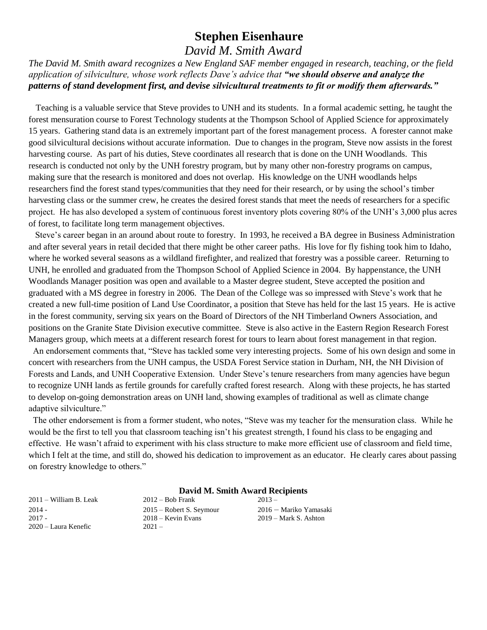# **Stephen Eisenhaure**

# *David M. Smith Award*

*The David M. Smith award recognizes a New England SAF member engaged in research, teaching, or the field application of silviculture, whose work reflects Dave's advice that "we should observe and analyze the patterns of stand development first, and devise silvicultural treatments to fit or modify them afterwards."*

 Teaching is a valuable service that Steve provides to UNH and its students. In a formal academic setting, he taught the forest mensuration course to Forest Technology students at the Thompson School of Applied Science for approximately 15 years. Gathering stand data is an extremely important part of the forest management process. A forester cannot make good silvicultural decisions without accurate information. Due to changes in the program, Steve now assists in the forest harvesting course. As part of his duties, Steve coordinates all research that is done on the UNH Woodlands. This research is conducted not only by the UNH forestry program, but by many other non-forestry programs on campus, making sure that the research is monitored and does not overlap. His knowledge on the UNH woodlands helps researchers find the forest stand types/communities that they need for their research, or by using the school's timber harvesting class or the summer crew, he creates the desired forest stands that meet the needs of researchers for a specific project. He has also developed a system of continuous forest inventory plots covering 80% of the UNH's 3,000 plus acres of forest, to facilitate long term management objectives.

 Steve's career began in an around about route to forestry. In 1993, he received a BA degree in Business Administration and after several years in retail decided that there might be other career paths. His love for fly fishing took him to Idaho, where he worked several seasons as a wildland firefighter, and realized that forestry was a possible career. Returning to UNH, he enrolled and graduated from the Thompson School of Applied Science in 2004. By happenstance, the UNH Woodlands Manager position was open and available to a Master degree student, Steve accepted the position and graduated with a MS degree in forestry in 2006. The Dean of the College was so impressed with Steve's work that he created a new full-time position of Land Use Coordinator, a position that Steve has held for the last 15 years. He is active in the forest community, serving six years on the Board of Directors of the NH Timberland Owners Association, and positions on the Granite State Division executive committee. Steve is also active in the Eastern Region Research Forest Managers group, which meets at a different research forest for tours to learn about forest management in that region.

 An endorsement comments that, "Steve has tackled some very interesting projects. Some of his own design and some in concert with researchers from the UNH campus, the USDA Forest Service station in Durham, NH, the NH Division of Forests and Lands, and UNH Cooperative Extension. Under Steve's tenure researchers from many agencies have begun to recognize UNH lands as fertile grounds for carefully crafted forest research. Along with these projects, he has started to develop on-going demonstration areas on UNH land, showing examples of traditional as well as climate change adaptive silviculture."

 The other endorsement is from a former student, who notes, "Steve was my teacher for the mensuration class. While he would be the first to tell you that classroom teaching isn't his greatest strength, I found his class to be engaging and effective. He wasn't afraid to experiment with his class structure to make more efficient use of classroom and field time, which I felt at the time, and still do, showed his dedication to improvement as an educator. He clearly cares about passing on forestry knowledge to others."

#### **David M. Smith Award Recipients**

2020 – Laura Kenefic 2021 –

2011 – William B. Leak 2012 – Bob Frank 2013 – 2014 - 2015 – Robert S. Seymour 2016 – Mariko Yamasaki 2017 - 2018 – Kevin Evans 2019 – Mark S. Ashton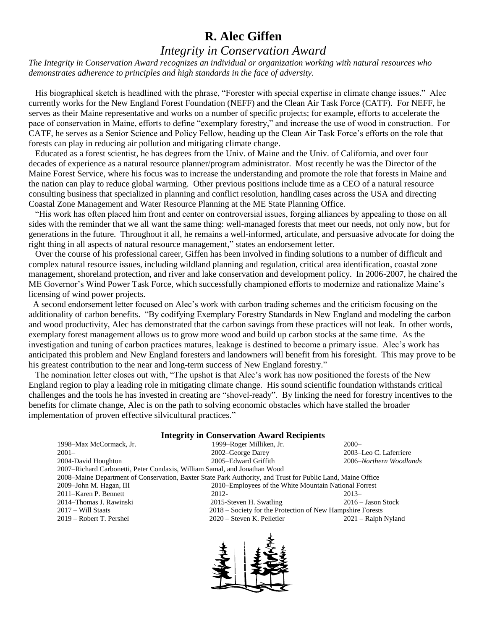# **R. Alec Giffen**

## *Integrity in Conservation Award*

*The Integrity in Conservation Award recognizes an individual or organization working with natural resources who demonstrates adherence to principles and high standards in the face of adversity.*

 His biographical sketch is headlined with the phrase, "Forester with special expertise in climate change issues." Alec currently works for the New England Forest Foundation (NEFF) and the Clean Air Task Force (CATF). For NEFF, he serves as their Maine representative and works on a number of specific projects; for example, efforts to accelerate the pace of conservation in Maine, efforts to define "exemplary forestry," and increase the use of wood in construction. For CATF, he serves as a Senior Science and Policy Fellow, heading up the Clean Air Task Force's efforts on the role that forests can play in reducing air pollution and mitigating climate change.

 Educated as a forest scientist, he has degrees from the Univ. of Maine and the Univ. of California, and over four decades of experience as a natural resource planner/program administrator. Most recently he was the Director of the Maine Forest Service, where his focus was to increase the understanding and promote the role that forests in Maine and the nation can play to reduce global warming. Other previous positions include time as a CEO of a natural resource consulting business that specialized in planning and conflict resolution, handling cases across the USA and directing Coastal Zone Management and Water Resource Planning at the ME State Planning Office.

 "His work has often placed him front and center on controversial issues, forging alliances by appealing to those on all sides with the reminder that we all want the same thing: well-managed forests that meet our needs, not only now, but for generations in the future. Throughout it all, he remains a well-informed, articulate, and persuasive advocate for doing the right thing in all aspects of natural resource management," states an endorsement letter.

 Over the course of his professional career, Giffen has been involved in finding solutions to a number of difficult and complex natural resource issues, including wildland planning and regulation, critical area identification, coastal zone management, shoreland protection, and river and lake conservation and development policy. In 2006-2007, he chaired the ME Governor's Wind Power Task Force, which successfully championed efforts to modernize and rationalize Maine's licensing of wind power projects.

 A second endorsement letter focused on Alec's work with carbon trading schemes and the criticism focusing on the additionality of carbon benefits. "By codifying Exemplary Forestry Standards in New England and modeling the carbon and wood productivity, Alec has demonstrated that the carbon savings from these practices will not leak. In other words, exemplary forest management allows us to grow more wood and build up carbon stocks at the same time. As the investigation and tuning of carbon practices matures, leakage is destined to become a primary issue. Alec's work has anticipated this problem and New England foresters and landowners will benefit from his foresight. This may prove to be his greatest contribution to the near and long-term success of New England forestry."

 The nomination letter closes out with, "The upshot is that Alec's work has now positioned the forests of the New England region to play a leading role in mitigating climate change. His sound scientific foundation withstands critical challenges and the tools he has invested in creating are "shovel-ready". By linking the need for forestry incentives to the benefits for climate change, Alec is on the path to solving economic obstacles which have stalled the broader implementation of proven effective silvicultural practices."

| <b>Integrity in Conservation Award Recipients</b>                                                           |                                                            |                        |  |  |  |  |  |
|-------------------------------------------------------------------------------------------------------------|------------------------------------------------------------|------------------------|--|--|--|--|--|
| 1998–Max McCormack, Jr.                                                                                     | 1999–Roger Milliken, Jr.                                   | $2000 -$               |  |  |  |  |  |
| $2001 -$                                                                                                    | 2002–George Darey                                          | 2003–Leo C. Laferriere |  |  |  |  |  |
| 2004-David Houghton                                                                                         | 2005–Edward Griffith<br>2006–Northern Woodlands            |                        |  |  |  |  |  |
| 2007–Richard Carbonetti, Peter Condaxis, William Samal, and Jonathan Wood                                   |                                                            |                        |  |  |  |  |  |
| 2008–Maine Department of Conservation, Baxter State Park Authority, and Trust for Public Land, Maine Office |                                                            |                        |  |  |  |  |  |
| 2009-John M. Hagan, III                                                                                     | 2010–Employees of the White Mountain National Forrest      |                        |  |  |  |  |  |
| 2011–Karen P. Bennett                                                                                       | 2012-                                                      | $2013-$                |  |  |  |  |  |
| 2014–Thomas J. Rawinski                                                                                     | 2015-Steven H. Swatling                                    | $2016 -$ Jason Stock   |  |  |  |  |  |
| $2017 - Will Staats$                                                                                        | 2018 – Society for the Protection of New Hampshire Forests |                        |  |  |  |  |  |
| 2019 – Robert T. Pershel                                                                                    | 2020 – Steven K. Pelletier                                 | $2021$ – Ralph Nyland  |  |  |  |  |  |

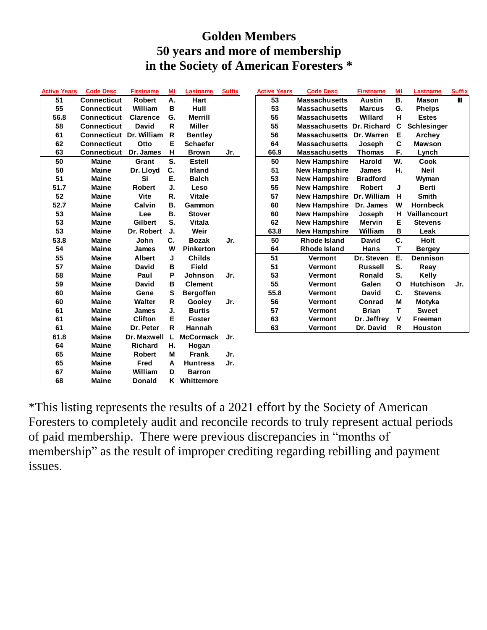# **Golden Members 50 years and more of membership in the Society of American Foresters \***

| <b>Active Years</b> | <b>Code Desc</b>               | <b>Firstname</b> | MI           | <b>Lastname</b>  | <b>Suffix</b> | <b>Active Years</b> | <b>Code Desc</b>                 | <b>Firstname</b> | MI           | <b>Lastname</b>   |
|---------------------|--------------------------------|------------------|--------------|------------------|---------------|---------------------|----------------------------------|------------------|--------------|-------------------|
| 51                  | <b>Connecticut</b>             | <b>Robert</b>    | А.           | <b>Hart</b>      |               | 53                  | <b>Massachusetts</b>             | <b>Austin</b>    | <b>B.</b>    | <b>Mason</b>      |
| 55                  | <b>Connecticut</b>             | William          | B            | Hull             |               | 53                  | <b>Massachusetts</b>             | <b>Marcus</b>    | G.           | <b>Phelps</b>     |
| 56.8                | <b>Connecticut</b>             | <b>Clarence</b>  | G.           | <b>Merrill</b>   |               | 55                  | <b>Massachusetts</b>             | Willard          | н            | <b>Estes</b>      |
| 58                  | <b>Connecticut</b>             | <b>David</b>     | $\mathsf{R}$ | <b>Miller</b>    |               | 55                  | <b>Massachusetts Dr. Richard</b> |                  | C            | <b>Schlesinge</b> |
| 61                  | <b>Connecticut Dr. William</b> |                  | $\mathsf{R}$ | <b>Bentley</b>   |               | 56                  | <b>Massachusetts</b>             | Dr. Warren       | Е            | <b>Archey</b>     |
| 62                  | <b>Connecticut</b>             | Otto             | E            | <b>Schaefer</b>  |               | 64                  | <b>Massachusetts</b>             | Joseph           | C            | <b>Mawson</b>     |
| 63                  | <b>Connecticut</b>             | Dr. James        | н            | <b>Brown</b>     | Jr.           | 66.9                | <b>Massachusetts</b>             | <b>Thomas</b>    | F.           | Lynch             |
| 50                  | <b>Maine</b>                   | Grant            | S.           | <b>Estell</b>    |               | 50                  | <b>New Hampshire</b>             | <b>Harold</b>    | W.           | Cook              |
| 50                  | <b>Maine</b>                   | Dr. Lloyd        | C.           | <b>Irland</b>    |               | 51                  | <b>New Hampshire</b>             | <b>James</b>     | Η.           | <b>Neil</b>       |
| 51                  | <b>Maine</b>                   | Si               | Е.           | <b>Balch</b>     |               | 53                  | <b>New Hampshire</b>             | <b>Bradford</b>  |              | Wyman             |
| 51.7                | <b>Maine</b>                   | <b>Robert</b>    | J.           | Leso             |               | 55                  | <b>New Hampshire</b>             | <b>Robert</b>    | J            | <b>Berti</b>      |
| 52                  | <b>Maine</b>                   | <b>Vite</b>      | R.           | <b>Vitale</b>    |               | 57                  | New Hampshire Dr. William        |                  | н            | <b>Smith</b>      |
| 52.7                | <b>Maine</b>                   | Calvin           | В.           | Gammon           |               | 60                  | <b>New Hampshire</b>             | Dr. James        | W            | <b>Hornbeck</b>   |
| 53                  | <b>Maine</b>                   | Lee              | <b>B.</b>    | <b>Stover</b>    |               | 60                  | <b>New Hampshire</b>             | Joseph           | н            | Vaillancou        |
| 53                  | <b>Maine</b>                   | <b>Gilbert</b>   | S.           | <b>Vitala</b>    |               | 62                  | <b>New Hampshire</b>             | <b>Mervin</b>    | Е            | <b>Stevens</b>    |
| 53                  | <b>Maine</b>                   | Dr. Robert       | J.           | Weir             |               | 63.8                | <b>New Hampshire</b>             | William          | В            | Leak              |
| 53.8                | <b>Maine</b>                   | John             | C.           | <b>Bozak</b>     | Jr.           | 50                  | Rhode Island                     | <b>David</b>     | C.           | <b>Holt</b>       |
| 54                  | <b>Maine</b>                   | James            | W            | <b>Pinkerton</b> |               | 64                  | <b>Rhode Island</b>              | Hans             | Т            | Bergey            |
| 55                  | <b>Maine</b>                   | <b>Albert</b>    | J            | <b>Childs</b>    |               | 51                  | Vermont                          | Dr. Steven       | Е.           | <b>Dennison</b>   |
| 57                  | <b>Maine</b>                   | <b>David</b>     | в            | <b>Field</b>     |               | 51                  | Vermont                          | <b>Russell</b>   | S.           | Reay              |
| 58                  | <b>Maine</b>                   | Paul             | P            | <b>Johnson</b>   | Jr.           | 53                  | Vermont                          | <b>Ronald</b>    | S.           | Kelly             |
| 59                  | <b>Maine</b>                   | <b>David</b>     | в            | <b>Clement</b>   |               | 55                  | Vermont                          | Galen            | $\mathbf{o}$ | <b>Hutchison</b>  |
| 60                  | <b>Maine</b>                   | Gene             | S            | <b>Bergoffen</b> |               | 55.8                | Vermont                          | <b>David</b>     | C.           | <b>Stevens</b>    |
| 60                  | <b>Maine</b>                   | <b>Walter</b>    | R            | Gooley           | Jr.           | 56                  | Vermont                          | Conrad           | M            | <b>Motyka</b>     |
| 61                  | <b>Maine</b>                   | <b>James</b>     | J.           | <b>Burtis</b>    |               | 57                  | <b>Vermont</b>                   | <b>Brian</b>     | T            | <b>Sweet</b>      |
| 61                  | <b>Maine</b>                   | <b>Clifton</b>   | Е            | <b>Foster</b>    |               | 63                  | Vermont                          | Dr. Jeffrey      | V            | Freeman           |
| 61                  | <b>Maine</b>                   | Dr. Peter        | R            | Hannah           |               | 63                  | Vermont                          | Dr. David        | R            | Houston           |
| 61.8                | <b>Maine</b>                   | Dr. Maxwell      | L            | <b>McCormack</b> | Jr.           |                     |                                  |                  |              |                   |
| 64                  | <b>Maine</b>                   | <b>Richard</b>   | н.           | Hogan            |               |                     |                                  |                  |              |                   |
| 65                  | <b>Maine</b>                   | <b>Robert</b>    | M            | <b>Frank</b>     | Jr.           |                     |                                  |                  |              |                   |
| 65                  | <b>Maine</b>                   | Fred             | А            | <b>Huntress</b>  | Jr.           |                     |                                  |                  |              |                   |
| 67                  | <b>Maine</b>                   | William          | D            | <b>Barron</b>    |               |                     |                                  |                  |              |                   |
| 68                  | <b>Maine</b>                   | <b>Donald</b>    |              | K Whittemore     |               |                     |                                  |                  |              |                   |
|                     |                                |                  |              |                  |               |                     |                                  |                  |              |                   |

| <b>Active Years</b> | <b>Code Desc</b>   | <b>Firstname</b> | MI | Lastname         | <b>Suffix</b> | <b>Active Years</b> | <b>Code Desc</b>          | <b>Firstname</b> | MI        | Lastname           | <b>Suffix</b> |
|---------------------|--------------------|------------------|----|------------------|---------------|---------------------|---------------------------|------------------|-----------|--------------------|---------------|
| 51                  | <b>Connecticut</b> | <b>Robert</b>    | А. | <b>Hart</b>      |               | 53                  | <b>Massachusetts</b>      | <b>Austin</b>    | <b>B.</b> | <b>Mason</b>       | Ш             |
| 55                  | <b>Connecticut</b> | William          | в  | Hull             |               | 53                  | <b>Massachusetts</b>      | <b>Marcus</b>    | G.        | <b>Phelps</b>      |               |
| 56.8                | <b>Connecticut</b> | <b>Clarence</b>  | G. | <b>Merrill</b>   |               | 55                  | <b>Massachusetts</b>      | Willard          | н         | <b>Estes</b>       |               |
| 58                  | <b>Connecticut</b> | <b>David</b>     | R  | <b>Miller</b>    |               | 55                  | Massachusetts Dr. Richard |                  | C         | <b>Schlesinger</b> |               |
| 61                  | <b>Connecticut</b> | Dr. William      | R  | <b>Bentley</b>   |               | 56                  | <b>Massachusetts</b>      | Dr. Warren       | Е         | Archey             |               |
| 62                  | <b>Connecticut</b> | Otto             | Е  | <b>Schaefer</b>  |               | 64                  | <b>Massachusetts</b>      | Joseph           | C         | <b>Mawson</b>      |               |
| 63                  | <b>Connecticut</b> | Dr. James        | н  | <b>Brown</b>     | Jr.           | 66.9                | <b>Massachusetts</b>      | <b>Thomas</b>    | F.        | Lynch              |               |
| 50                  | <b>Maine</b>       | Grant            | S. | <b>Estell</b>    |               | 50                  | <b>New Hampshire</b>      | <b>Harold</b>    | W.        | Cook               |               |
| 50                  | Maine              | Dr. Lloyd        | C. | <b>Irland</b>    |               | 51                  | <b>New Hampshire</b>      | <b>James</b>     | Н.        | <b>Neil</b>        |               |
| 51                  | <b>Maine</b>       | Si               | Е. | <b>Balch</b>     |               | 53                  | <b>New Hampshire</b>      | <b>Bradford</b>  |           | Wyman              |               |
| 51.7                | <b>Maine</b>       | <b>Robert</b>    | J. | Leso             |               | 55                  | <b>New Hampshire</b>      | <b>Robert</b>    | J         | <b>Berti</b>       |               |
| 52                  | Maine              | <b>Vite</b>      | R. | <b>Vitale</b>    |               | 57                  | New Hampshire Dr. William |                  | н         | <b>Smith</b>       |               |
| 52.7                | <b>Maine</b>       | Calvin           | В. | Gammon           |               | 60                  | <b>New Hampshire</b>      | Dr. James        | W         | <b>Hornbeck</b>    |               |
| 53                  | <b>Maine</b>       | Lee              | В. | <b>Stover</b>    |               | 60                  | <b>New Hampshire</b>      | Joseph           | н         | Vaillancourt       |               |
| 53                  | <b>Maine</b>       | <b>Gilbert</b>   | S. | <b>Vitala</b>    |               | 62                  | <b>New Hampshire</b>      | Mervin           | Е         | <b>Stevens</b>     |               |
| 53                  | Maine              | Dr. Robert       | J. | Weir             |               | 63.8                | <b>New Hampshire</b>      | William          | в         | Leak               |               |
| 53.8                | <b>Maine</b>       | John             | C. | <b>Bozak</b>     | Jr.           | 50                  | Rhode Island              | <b>David</b>     | C.        | Holt               |               |
| 54                  | <b>Maine</b>       | <b>James</b>     | W  | <b>Pinkerton</b> |               | 64                  | Rhode Island              | Hans             | т         | <b>Bergey</b>      |               |
| 55                  | <b>Maine</b>       | <b>Albert</b>    | J  | <b>Childs</b>    |               | 51                  | Vermont                   | Dr. Steven       | Е.        | <b>Dennison</b>    |               |
| 57                  | Maine              | <b>David</b>     | В  | Field            |               | 51                  | <b>Vermont</b>            | <b>Russell</b>   | S.        | Reay               |               |
| 58                  | <b>Maine</b>       | Paul             | P  | Johnson          | Jr.           | 53                  | <b>Vermont</b>            | <b>Ronald</b>    | S.        | Kelly              |               |
| 59                  | <b>Maine</b>       | <b>David</b>     | в  | <b>Clement</b>   |               | 55                  | <b>Vermont</b>            | Galen            | O         | <b>Hutchison</b>   | Jr.           |
| 60                  | Maine              | Gene             | s  | <b>Bergoffen</b> |               | 55.8                | <b>Vermont</b>            | <b>David</b>     | C.        | <b>Stevens</b>     |               |
| 60                  | <b>Maine</b>       | <b>Walter</b>    | R  | Gooley           | Jr.           | 56                  | <b>Vermont</b>            | Conrad           | М         | Motyka             |               |
| 61                  | <b>Maine</b>       | <b>James</b>     | J. | <b>Burtis</b>    |               | 57                  | <b>Vermont</b>            | <b>Brian</b>     | т         | <b>Sweet</b>       |               |
| 61                  | <b>Maine</b>       | <b>Clifton</b>   | Е  | <b>Foster</b>    |               | 63                  | Vermont                   | Dr. Jeffrey      | ۷         | Freeman            |               |
| 61                  | <b>Maine</b>       | Dr. Peter        | R  | Hannah           |               | 63                  | Vermont                   | Dr. David        | R         | <b>Houston</b>     |               |

\*This listing represents the results of a 2021 effort by the Society of American Foresters to completely audit and reconcile records to truly represent actual periods of paid membership. There were previous discrepancies in "months of membership" as the result of improper crediting regarding rebilling and payment issues.